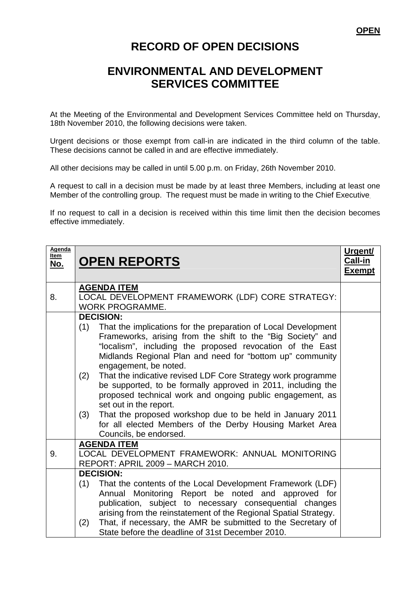## **RECORD OF OPEN DECISIONS**

## **ENVIRONMENTAL AND DEVELOPMENT SERVICES COMMITTEE**

At the Meeting of the Environmental and Development Services Committee held on Thursday, 18th November 2010, the following decisions were taken.

Urgent decisions or those exempt from call-in are indicated in the third column of the table. These decisions cannot be called in and are effective immediately.

All other decisions may be called in until 5.00 p.m. on Friday, 26th November 2010.

A request to call in a decision must be made by at least three Members, including at least one Member of the controlling group. The request must be made in writing to the Chief Executive.

If no request to call in a decision is received within this time limit then the decision becomes effective immediately.

| Agenda<br>Item<br><u>No.</u> | <b>OPEN REPORTS</b>                                                                                                                                                                                                                                                                                                                                                                                                                                                                                                                                                                                                                                                                                 | Urgent/<br>Call-in<br><b>Exempt</b> |
|------------------------------|-----------------------------------------------------------------------------------------------------------------------------------------------------------------------------------------------------------------------------------------------------------------------------------------------------------------------------------------------------------------------------------------------------------------------------------------------------------------------------------------------------------------------------------------------------------------------------------------------------------------------------------------------------------------------------------------------------|-------------------------------------|
| 8.                           | <b>AGENDA ITEM</b><br>LOCAL DEVELOPMENT FRAMEWORK (LDF) CORE STRATEGY:<br><b>WORK PROGRAMME.</b>                                                                                                                                                                                                                                                                                                                                                                                                                                                                                                                                                                                                    |                                     |
|                              | <b>DECISION:</b><br>That the implications for the preparation of Local Development<br>(1)<br>Frameworks, arising from the shift to the "Big Society" and<br>"localism", including the proposed revocation of the East<br>Midlands Regional Plan and need for "bottom up" community<br>engagement, be noted.<br>That the indicative revised LDF Core Strategy work programme<br>(2)<br>be supported, to be formally approved in 2011, including the<br>proposed technical work and ongoing public engagement, as<br>set out in the report.<br>That the proposed workshop due to be held in January 2011<br>(3)<br>for all elected Members of the Derby Housing Market Area<br>Councils, be endorsed. |                                     |
| 9.                           | <b>AGENDA ITEM</b><br>LOCAL DEVELOPMENT FRAMEWORK: ANNUAL MONITORING<br>REPORT: APRIL 2009 - MARCH 2010.                                                                                                                                                                                                                                                                                                                                                                                                                                                                                                                                                                                            |                                     |
|                              | <b>DECISION:</b><br>(1)<br>That the contents of the Local Development Framework (LDF)<br>Annual Monitoring Report be noted and approved for<br>publication, subject to necessary consequential changes<br>arising from the reinstatement of the Regional Spatial Strategy.<br>That, if necessary, the AMR be submitted to the Secretary of<br>(2)<br>State before the deadline of 31st December 2010.                                                                                                                                                                                                                                                                                               |                                     |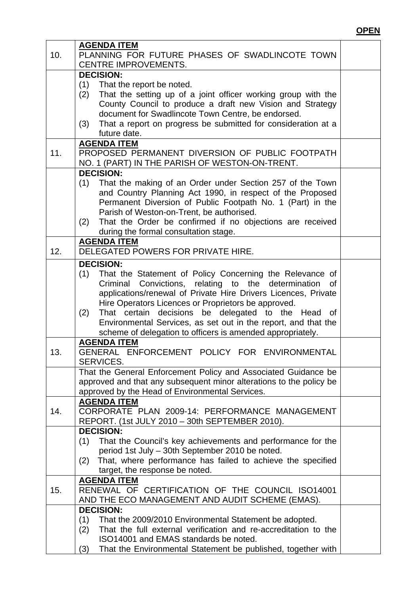## **OPEN**

|     | <b>AGENDA ITEM</b>                                                     |  |
|-----|------------------------------------------------------------------------|--|
| 10. | PLANNING FOR FUTURE PHASES OF SWADLINCOTE TOWN                         |  |
|     | <b>CENTRE IMPROVEMENTS.</b>                                            |  |
|     | <b>DECISION:</b>                                                       |  |
|     | That the report be noted.<br>(1)                                       |  |
|     | That the setting up of a joint officer working group with the<br>(2)   |  |
|     | County Council to produce a draft new Vision and Strategy              |  |
|     | document for Swadlincote Town Centre, be endorsed.                     |  |
|     | That a report on progress be submitted for consideration at a<br>(3)   |  |
|     | future date.                                                           |  |
|     | <b>AGENDA ITEM</b>                                                     |  |
| 11. | PROPOSED PERMANENT DIVERSION OF PUBLIC FOOTPATH                        |  |
|     | NO. 1 (PART) IN THE PARISH OF WESTON-ON-TRENT.                         |  |
|     | <b>DECISION:</b>                                                       |  |
|     |                                                                        |  |
|     | (1)<br>That the making of an Order under Section 257 of the Town       |  |
|     | and Country Planning Act 1990, in respect of the Proposed              |  |
|     | Permanent Diversion of Public Footpath No. 1 (Part) in the             |  |
|     | Parish of Weston-on-Trent, be authorised.                              |  |
|     | That the Order be confirmed if no objections are received<br>(2)       |  |
|     | during the formal consultation stage.                                  |  |
|     | <b>AGENDA ITEM</b>                                                     |  |
| 12. | DELEGATED POWERS FOR PRIVATE HIRE.                                     |  |
|     | <b>DECISION:</b>                                                       |  |
|     | That the Statement of Policy Concerning the Relevance of<br>(1)        |  |
|     | Criminal Convictions, relating to the determination of                 |  |
|     | applications/renewal of Private Hire Drivers Licences, Private         |  |
|     | Hire Operators Licences or Proprietors be approved.                    |  |
|     | That certain decisions be delegated to the Head of<br>(2)              |  |
|     | Environmental Services, as set out in the report, and that the         |  |
|     | scheme of delegation to officers is amended appropriately.             |  |
|     | <b>AGENDA ITEM</b>                                                     |  |
| 13. | GENERAL ENFORCEMENT POLICY FOR ENVIRONMENTAL                           |  |
|     | SERVICES.                                                              |  |
|     | That the General Enforcement Policy and Associated Guidance be         |  |
|     | approved and that any subsequent minor alterations to the policy be    |  |
|     | approved by the Head of Environmental Services.                        |  |
|     | <b>AGENDA ITEM</b>                                                     |  |
| 14. | CORPORATE PLAN 2009-14: PERFORMANCE MANAGEMENT                         |  |
|     | REPORT. (1st JULY 2010 - 30th SEPTEMBER 2010).                         |  |
|     | <b>DECISION:</b>                                                       |  |
|     | That the Council's key achievements and performance for the<br>(1)     |  |
|     | period 1st July - 30th September 2010 be noted.                        |  |
|     | That, where performance has failed to achieve the specified<br>(2)     |  |
|     | target, the response be noted.                                         |  |
|     | <b>AGENDA ITEM</b>                                                     |  |
| 15. | RENEWAL OF CERTIFICATION OF THE COUNCIL ISO14001                       |  |
|     |                                                                        |  |
|     | AND THE ECO MANAGEMENT AND AUDIT SCHEME (EMAS).                        |  |
|     | <b>DECISION:</b>                                                       |  |
|     | (1)<br>That the 2009/2010 Environmental Statement be adopted.          |  |
|     | That the full external verification and re-accreditation to the<br>(2) |  |
|     | ISO14001 and EMAS standards be noted.                                  |  |
|     | That the Environmental Statement be published, together with<br>(3)    |  |